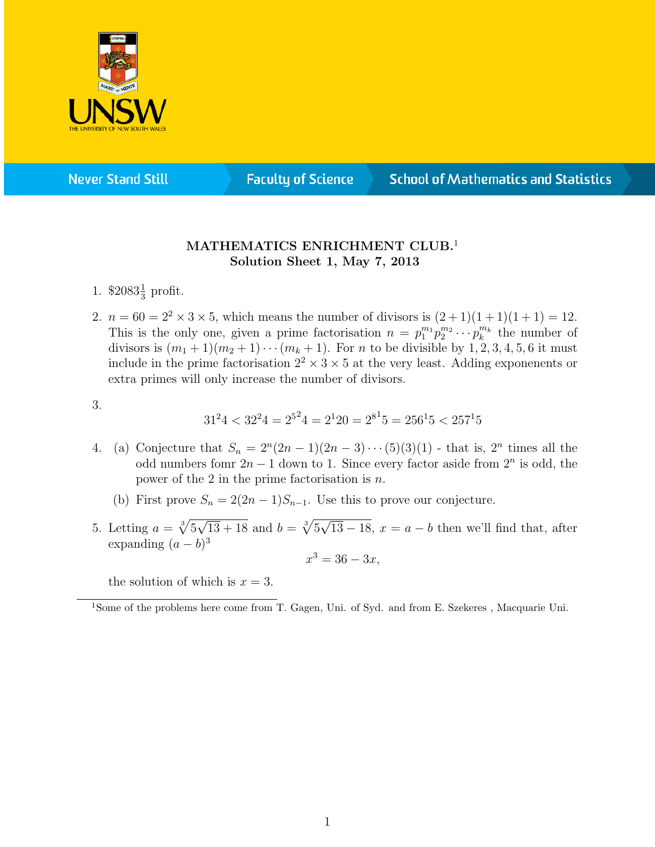

**Never Stand Still** 

**Faculty of Science** 

## **School of Mathematics and Statistics**

## MATHEMATICS ENRICHMENT CLUB.<sup>1</sup> Solution Sheet 1, May 7, 2013

- 1.  $$2083\frac{1}{3}$  profit.
- 2.  $n = 60 = 2^2 \times 3 \times 5$ , which means the number of divisors is  $(2 + 1)(1 + 1)(1 + 1) = 12$ . This is the only one, given a prime factorisation  $n = p_1^{m_1} p_2^{m_2} \cdots p_k^{m_k}$  the number of divisors is  $(m_1 + 1)(m_2 + 1) \cdots (m_k + 1)$ . For *n* to be divisible by 1, 2, 3, 4, 5, 6 it must include in the prime factorisation  $2^2 \times 3 \times 5$  at the very least. Adding exponenents or extra primes will only increase the number of divisors.
- 3.

$$
3124 < 3224 = 2524 = 2120 = 2815 = 25615 < 25715
$$

- 4. (a) Conjecture that  $S_n = 2^n(2n-1)(2n-3)\cdots(5)(3)(1)$  that is,  $2^n$  times all the odd numbers fomr  $2n - 1$  down to 1. Since every factor aside from  $2^n$  is odd, the power of the 2 in the prime factorisation is  $n$ .
	- (b) First prove  $S_n = 2(2n-1)S_{n-1}$ . Use this to prove our conjecture.
- 5. Letting  $a = \sqrt[3]{5}$ √  $\overline{13 + 18}$  and  $b = \sqrt[3]{5}$ √  $13-18$ ,  $x=a-b$  then we'll find that, after expanding  $(a - b)^3$  $x^3 = 36 - 3x,$

the solution of which is  $x = 3$ .

<sup>1</sup>Some of the problems here come from T. Gagen, Uni. of Syd. and from E. Szekeres , Macquarie Uni.